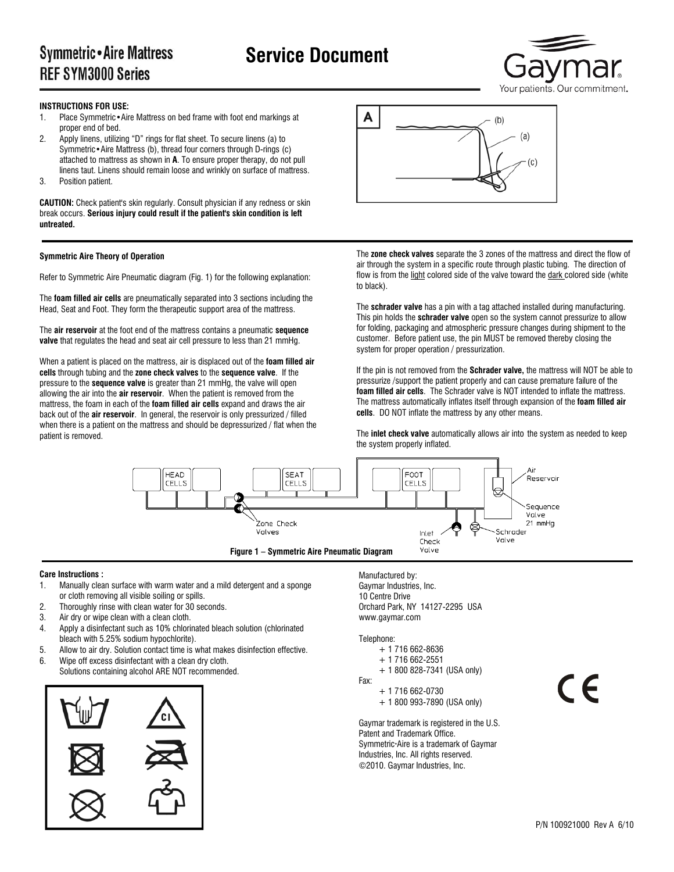## **Symmetric • Aire Mattress REF SYM3000 Series**

# **Service Document**



#### **INSTRUCTIONS FOR USE:**

- 1. Place Symmetric•Aire Mattress on bed frame with foot end markings at proper end of bed.
- 2. Apply linens, utilizing "D" rings for flat sheet. To secure linens (a) to Symmetric•Aire Mattress (b), thread four corners through D-rings (c) attached to mattress as shown in **A**. To ensure proper therapy, do not pull linens taut. Linens should remain loose and wrinkly on surface of mattress.
- 3. Position patient.

**CAUTION:** Check patient's skin regularly. Consult physician if any redness or skin break occurs. **Serious injury could result if the patient's skin condition is left untreated.**

#### **Symmetric Aire Theory of Operation**

Refer to Symmetric Aire Pneumatic diagram (Fig. 1) for the following explanation:

The **foam filled air cells** are pneumatically separated into 3 sections including the Head, Seat and Foot. They form the therapeutic support area of the mattress.

The **air reservoir** at the foot end of the mattress contains a pneumatic **sequence valve** that regulates the head and seat air cell pressure to less than 21 mmHg.

When a patient is placed on the mattress, air is displaced out of the **foam filled air cells** through tubing and the **zone check valves** to the **sequence valve**. If the pressure to the **sequence valve** is greater than 21 mmHg, the valve will open allowing the air into the **air reservoir**. When the patient is removed from the mattress, the foam in each of the **foam filled air cells** expand and draws the air back out of the **air reservoir**. In general, the reservoir is only pressurized / filled when there is a patient on the mattress and should be depressurized / flat when the patient is removed.



The **zone check valves** separate the 3 zones of the mattress and direct the flow of air through the system in a specific route through plastic tubing. The direction of flow is from the light colored side of the valve toward the dark colored side (white to black).

The **schrader valve** has a pin with a tag attached installed during manufacturing. This pin holds the **schrader valve** open so the system cannot pressurize to allow for folding, packaging and atmospheric pressure changes during shipment to the customer. Before patient use, the pin MUST be removed thereby closing the system for proper operation / pressurization.

If the pin is not removed from the **Schrader valve,** the mattress will NOT be able to pressurize /support the patient properly and can cause premature failure of the **foam filled air cells**. The Schrader valve is NOT intended to inflate the mattress. The mattress automatically inflates itself through expansion of the **foam filled air cells**. DO NOT inflate the mattress by any other means.

The **inlet check valve** automatically allows air into the system as needed to keep the system properly inflated.



#### **Care Instructions :**

- 1. Manually clean surface with warm water and a mild detergent and a sponge or cloth removing all visible soiling or spills.
- 2. Thoroughly rinse with clean water for 30 seconds.
- 3. Air dry or wipe clean with a clean cloth.
- 4. Apply a disinfectant such as 10% chlorinated bleach solution (chlorinated bleach with 5.25% sodium hypochlorite).
- 5. Allow to air dry. Solution contact time is what makes disinfection effective. 6. Wipe off excess disinfectant with a clean dry cloth.
- Solutions containing alcohol ARE NOT recommended.



Manufactured by: Gaymar Industries, Inc. 10 Centre Drive Orchard Park, NY 14127-2295 USA www.gaymar.com

Telephone:

 + 1 716 662-8636 + 1 716 662-2551 + 1 800 828-7341 (USA only)

Fax:

 + 1 716 662-0730 + 1 800 993-7890 (USA only)

Gaymar trademark is registered in the U.S. Patent and Trademark Office. Symmetric**·**Aire is a trademark of Gaymar Industries, Inc. All rights reserved. ©2010. Gaymar Industries, Inc.

 $\epsilon$